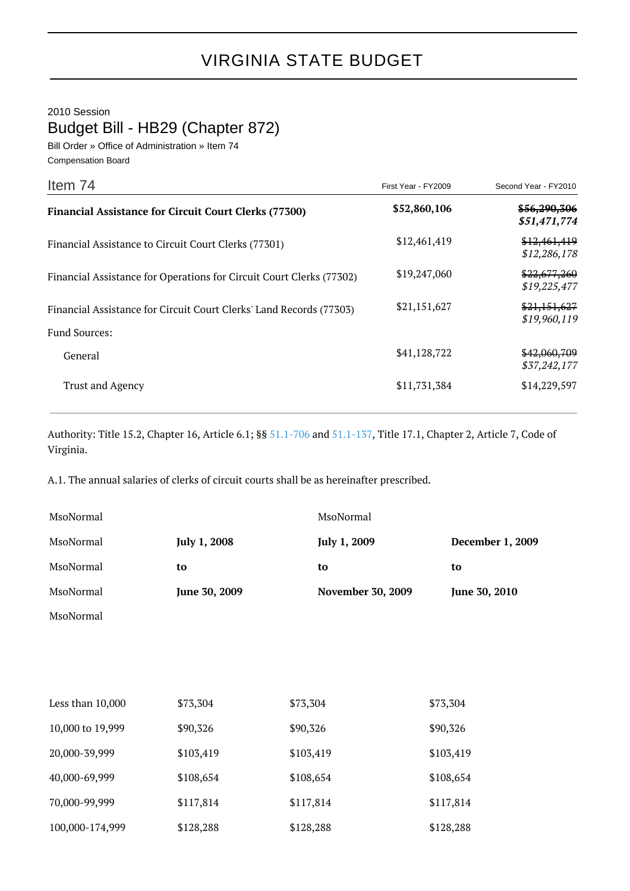2010 Session

Budget Bill - HB29 (Chapter 872)

Bill Order » Office of Administration » Item 74 Compensation Board

| Item 74                                                              | First Year - FY2009 | Second Year - FY2010         |
|----------------------------------------------------------------------|---------------------|------------------------------|
| <b>Financial Assistance for Circuit Court Clerks (77300)</b>         | \$52,860,106        | \$56,290,306<br>\$51,471,774 |
| Financial Assistance to Circuit Court Clerks (77301)                 | \$12,461,419        | \$12,461,419<br>\$12,286,178 |
| Financial Assistance for Operations for Circuit Court Clerks (77302) | \$19,247,060        | \$22,677,260<br>\$19,225,477 |
| Financial Assistance for Circuit Court Clerks' Land Records (77303)  | \$21,151,627        | \$21,151,627<br>\$19,960,119 |
| <b>Fund Sources:</b>                                                 |                     |                              |
| General                                                              | \$41,128,722        | \$42,060,709<br>\$37,242,177 |
| <b>Trust and Agency</b>                                              | \$11,731,384        | \$14,229,597                 |

Authority: Title 15.2, Chapter 16, Article 6.1; §§ [51.1-706](http://law.lis.virginia.gov/vacode/51.1-706/) and [51.1-137,](http://law.lis.virginia.gov/vacode/51.1-137/) Title 17.1, Chapter 2, Article 7, Code of Virginia.

A.1. The annual salaries of clerks of circuit courts shall be as hereinafter prescribed.

| MsoNormal |                     | MsoNormal                |                         |
|-----------|---------------------|--------------------------|-------------------------|
| MsoNormal | <b>July 1, 2008</b> | <b>July 1, 2009</b>      | <b>December 1, 2009</b> |
| MsoNormal | to                  | to                       | to                      |
| MsoNormal | June 30, 2009       | <b>November 30, 2009</b> | June 30, 2010           |
| MsoNormal |                     |                          |                         |

| Less than $10,000$ | \$73,304  | \$73,304  | \$73,304  |
|--------------------|-----------|-----------|-----------|
| 10,000 to 19,999   | \$90,326  | \$90,326  | \$90,326  |
| 20,000-39,999      | \$103,419 | \$103,419 | \$103,419 |
| 40,000-69,999      | \$108,654 | \$108,654 | \$108,654 |
| 70,000-99,999      | \$117,814 | \$117,814 | \$117,814 |
| 100,000-174,999    | \$128,288 | \$128,288 | \$128,288 |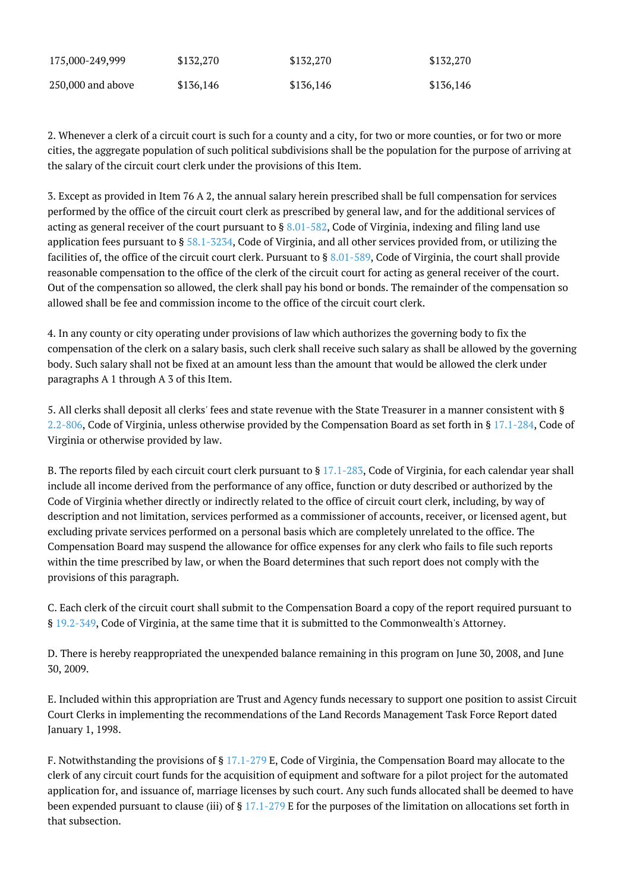| 175,000-249,999     | \$132,270 | \$132,270 | \$132,270 |
|---------------------|-----------|-----------|-----------|
| $250,000$ and above | \$136,146 | \$136,146 | \$136,146 |

2. Whenever a clerk of a circuit court is such for a county and a city, for two or more counties, or for two or more cities, the aggregate population of such political subdivisions shall be the population for the purpose of arriving at the salary of the circuit court clerk under the provisions of this Item.

3. Except as provided in Item 76 A 2, the annual salary herein prescribed shall be full compensation for services performed by the office of the circuit court clerk as prescribed by general law, and for the additional services of acting as general receiver of the court pursuant to  $\S 8.01 - 582$ , Code of Virginia, indexing and filing land use application fees pursuant to  $\S 58.1-5234$ , Code of Virginia, and all other services provided from, or utilizing the facilities of, the office of the circuit court clerk. Pursuant to  $\S 8.01 - 589$ , Code of Virginia, the court shall provide reasonable compensation to the office of the clerk of the circuit court for acting as general receiver of the court. Out of the compensation so allowed, the clerk shall pay his bond or bonds. The remainder of the compensation so allowed shall be fee and commission income to the office of the circuit court clerk.

4. In any county or city operating under provisions of law which authorizes the governing body to fix the compensation of the clerk on a salary basis, such clerk shall receive such salary as shall be allowed by the governing body. Such salary shall not be fixed at an amount less than the amount that would be allowed the clerk under paragraphs A 1 through A 3 of this Item.

5. All clerks shall deposit all clerks' fees and state revenue with the State Treasurer in a manner consistent with § [2.2-806,](http://law.lis.virginia.gov/vacode/2.2-806/) Code of Virginia, unless otherwise provided by the Compensation Board as set forth in § [17.1-284](http://law.lis.virginia.gov/vacode/17.1-284/), Code of Virginia or otherwise provided by law.

B. The reports filed by each circuit court clerk pursuant to § [17.1-283,](http://law.lis.virginia.gov/vacode/17.1-283/) Code of Virginia, for each calendar year shall include all income derived from the performance of any office, function or duty described or authorized by the Code of Virginia whether directly or indirectly related to the office of circuit court clerk, including, by way of description and not limitation, services performed as a commissioner of accounts, receiver, or licensed agent, but excluding private services performed on a personal basis which are completely unrelated to the office. The Compensation Board may suspend the allowance for office expenses for any clerk who fails to file such reports within the time prescribed by law, or when the Board determines that such report does not comply with the provisions of this paragraph.

C. Each clerk of the circuit court shall submit to the Compensation Board a copy of the report required pursuant to § [19.2-349,](http://law.lis.virginia.gov/vacode/19.2-349/) Code of Virginia, at the same time that it is submitted to the Commonwealth's Attorney.

D. There is hereby reappropriated the unexpended balance remaining in this program on June 30, 2008, and June 30, 2009.

E. Included within this appropriation are Trust and Agency funds necessary to support one position to assist Circuit Court Clerks in implementing the recommendations of the Land Records Management Task Force Report dated January 1, 1998.

F. Notwithstanding the provisions of § [17.1-279](http://law.lis.virginia.gov/vacode/17.1-279/) E, Code of Virginia, the Compensation Board may allocate to the clerk of any circuit court funds for the acquisition of equipment and software for a pilot project for the automated application for, and issuance of, marriage licenses by such court. Any such funds allocated shall be deemed to have been expended pursuant to clause (iii) of § [17.1-279](http://law.lis.virginia.gov/vacode/17.1-279/) E for the purposes of the limitation on allocations set forth in that subsection.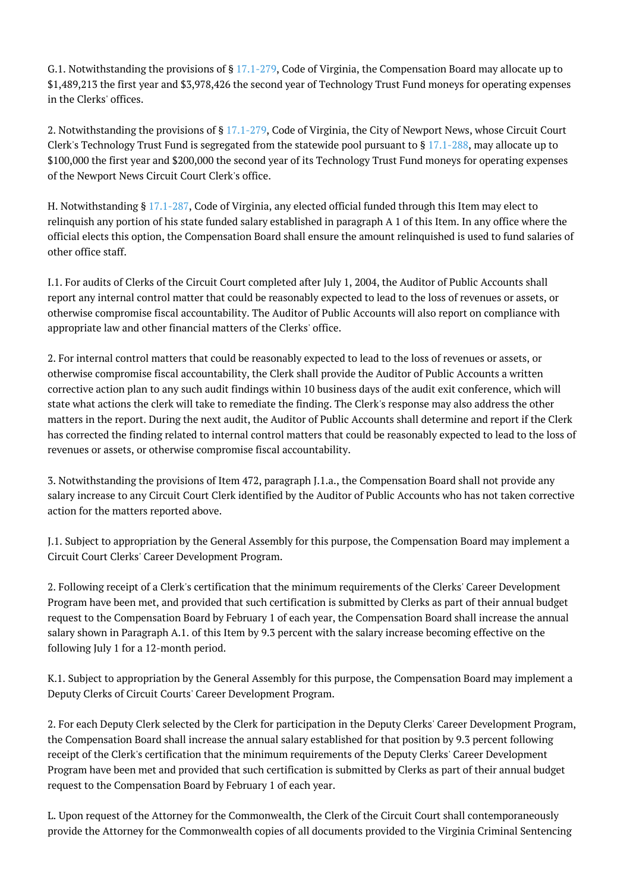G.1. Notwithstanding the provisions of §  $17.1-279$ , Code of Virginia, the Compensation Board may allocate up to \$1,489,213 the first year and \$3,978,426 the second year of Technology Trust Fund moneys for operating expenses in the Clerks' offices.

2. Notwithstanding the provisions of § [17.1-279,](http://law.lis.virginia.gov/vacode/17.1-279/) Code of Virginia, the City of Newport News, whose Circuit Court Clerk's Technology Trust Fund is segregated from the statewide pool pursuant to § [17.1-288](http://law.lis.virginia.gov/vacode/17.1-288/), may allocate up to \$100,000 the first year and \$200,000 the second year of its Technology Trust Fund moneys for operating expenses of the Newport News Circuit Court Clerk's office.

H. Notwithstanding § [17.1-287](http://law.lis.virginia.gov/vacode/17.1-287/), Code of Virginia, any elected official funded through this Item may elect to relinquish any portion of his state funded salary established in paragraph A 1 of this Item. In any office where the official elects this option, the Compensation Board shall ensure the amount relinquished is used to fund salaries of other office staff.

I.1. For audits of Clerks of the Circuit Court completed after July 1, 2004, the Auditor of Public Accounts shall report any internal control matter that could be reasonably expected to lead to the loss of revenues or assets, or otherwise compromise fiscal accountability. The Auditor of Public Accounts will also report on compliance with appropriate law and other financial matters of the Clerks' office.

2. For internal control matters that could be reasonably expected to lead to the loss of revenues or assets, or otherwise compromise fiscal accountability, the Clerk shall provide the Auditor of Public Accounts a written corrective action plan to any such audit findings within 10 business days of the audit exit conference, which will state what actions the clerk will take to remediate the finding. The Clerk's response may also address the other matters in the report. During the next audit, the Auditor of Public Accounts shall determine and report if the Clerk has corrected the finding related to internal control matters that could be reasonably expected to lead to the loss of revenues or assets, or otherwise compromise fiscal accountability.

3. Notwithstanding the provisions of Item 472, paragraph J.1.a., the Compensation Board shall not provide any salary increase to any Circuit Court Clerk identified by the Auditor of Public Accounts who has not taken corrective action for the matters reported above.

J.1. Subject to appropriation by the General Assembly for this purpose, the Compensation Board may implement a Circuit Court Clerks' Career Development Program.

2. Following receipt of a Clerk's certification that the minimum requirements of the Clerks' Career Development Program have been met, and provided that such certification is submitted by Clerks as part of their annual budget request to the Compensation Board by February 1 of each year, the Compensation Board shall increase the annual salary shown in Paragraph A.1. of this Item by 9.3 percent with the salary increase becoming effective on the following July 1 for a 12-month period.

K.1. Subject to appropriation by the General Assembly for this purpose, the Compensation Board may implement a Deputy Clerks of Circuit Courts' Career Development Program.

2. For each Deputy Clerk selected by the Clerk for participation in the Deputy Clerks' Career Development Program, the Compensation Board shall increase the annual salary established for that position by 9.3 percent following receipt of the Clerk's certification that the minimum requirements of the Deputy Clerks' Career Development Program have been met and provided that such certification is submitted by Clerks as part of their annual budget request to the Compensation Board by February 1 of each year.

L. Upon request of the Attorney for the Commonwealth, the Clerk of the Circuit Court shall contemporaneously provide the Attorney for the Commonwealth copies of all documents provided to the Virginia Criminal Sentencing